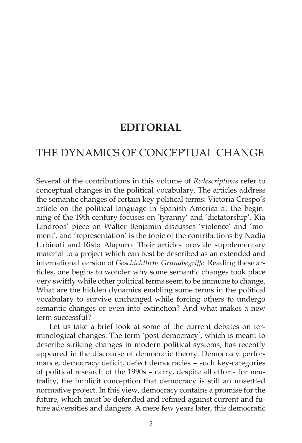## THE DYNAMICS OF CONCEPTUAL CHANGE

Several of the contributions in this volume of *Redescriptions* refer to conceptual changes in the political vocabulary. The articles address the semantic changes of certain key political terms: Victoria Crespo's article on the political language in Spanish America at the beginning of the 19th century focuses on 'tyranny' and 'dictatorship', Kia Lindroos' piece on Walter Benjamin discusses 'violence' and 'moment', and 'representation' is the topic of the contributions by Nadia Urbinati and Risto Alapuro. Their articles provide supplementary material to a project which can best be described as an extended and international version of *Geschichtliche Grundbegriffe*. Reading these articles, one begins to wonder why some semantic changes took place very swiftly while other political terms seem to be immune to change. What are the hidden dynamics enabling some terms in the political vocabulary to survive unchanged while forcing others to undergo semantic changes or even into extinction? And what makes a new term successful?

Let us take a brief look at some of the current debates on terminological changes. The term 'post-democracy', which is meant to describe striking changes in modern political systems, has recently appeared in the discourse of democratic theory. Democracy performance, democracy deficit, defect democracies – such key-categories of political research of the 1990s – carry, despite all efforts for neutrality, the implicit conception that democracy is still an unsettled normative project. In this view, democracy contains a promise for the future, which must be defended and refined against current and future adversities and dangers. A mere few years later, this democratic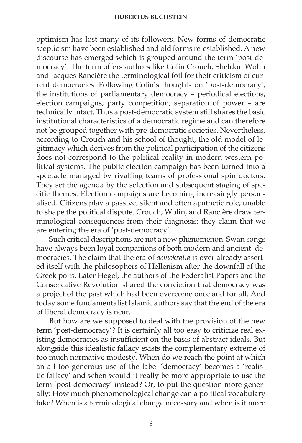optimism has lost many of its followers. New forms of democratic scepticism have been established and old forms re-established. A new discourse has emerged which is grouped around the term 'post-democracy'. The term offers authors like Colin Crouch, Sheldon Wolin and Jacques Rancière the terminological foil for their criticism of current democracies. Following Colin's thoughts on 'post-democracy', the institutions of parliamentary democracy – periodical elections, election campaigns, party competition, separation of power – are technically intact. Thus a post-democratic system still shares the basic institutional characteristics of a democratic regime and can therefore not be grouped together with pre-democratic societies. Nevertheless, according to Crouch and his school of thought, the old model of legitimacy which derives from the political participation of the citizens does not correspond to the political reality in modern western political systems. The public election campaign has been turned into a spectacle managed by rivalling teams of professional spin doctors. They set the agenda by the selection and subsequent staging of specific themes. Election campaigns are becoming increasingly personalised. Citizens play a passive, silent and often apathetic role, unable to shape the political dispute. Crouch, Wolin, and Rancière draw terminological consequences from their diagnosis: they claim that we are entering the era of 'post-democracy'.

Such critical descriptions are not a new phenomenon. Swan songs have always been loyal companions of both modern and ancient democracies. The claim that the era of *demokratia* is over already asserted itself with the philosophers of Hellenism after the downfall of the Greek polis. Later Hegel, the authors of the Federalist Papers and the Conservative Revolution shared the conviction that democracy was a project of the past which had been overcome once and for all. And today some fundamentalist Islamic authors say that the end of the era of liberal democracy is near.

But how are we supposed to deal with the provision of the new term 'post-democracy'? It is certainly all too easy to criticize real existing democracies as insufficient on the basis of abstract ideals. But alongside this idealistic fallacy exists the complementary extreme of too much normative modesty. When do we reach the point at which an all too generous use of the label 'democracy' becomes a 'realistic fallacy' and when would it really be more appropriate to use the term 'post-democracy' instead? Or, to put the question more generally: How much phenomenological change can a political vocabulary take? When is a terminological change necessary and when is it more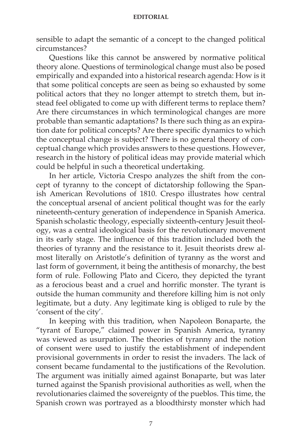sensible to adapt the semantic of a concept to the changed political circumstances?

 tion date for political concepts? Are there specific dynamics to which Questions like this cannot be answered by normative political theory alone. Questions of terminological change must also be posed empirically and expanded into a historical research agenda: How is it that some political concepts are seen as being so exhausted by some political actors that they no longer attempt to stretch them, but instead feel obligated to come up with different terms to replace them? Are there circumstances in which terminological changes are more probable than semantic adaptations? Is there such thing as an expirathe conceptual change is subject? There is no general theory of conceptual change which provides answers to these questions. However, research in the history of political ideas may provide material which could be helpful in such a theoretical undertaking.

In her article, Victoria Crespo analyzes the shift from the concept of tyranny to the concept of dictatorship following the Spanish American Revolutions of 1810. Crespo illustrates how central the conceptual arsenal of ancient political thought was for the early nineteenth-century generation of independence in Spanish America. Spanish scholastic theology, especially sixteenth-century Jesuit theology, was a central ideological basis for the revolutionary movement in its early stage. The influence of this tradition included both the theories of tyranny and the resistance to it. Jesuit theorists drew almost literally on Aristotle's definition of tyranny as the worst and last form of government, it being the antithesis of monarchy, the best form of rule. Following Plato and Cicero, they depicted the tyrant as a ferocious beast and a cruel and horrific monster. The tyrant is outside the human community and therefore killing him is not only legitimate, but a duty. Any legitimate king is obliged to rule by the 'consent of the city'.

In keeping with this tradition, when Napoleon Bonaparte, the "tyrant of Europe," claimed power in Spanish America, tyranny was viewed as usurpation. The theories of tyranny and the notion of consent were used to justify the establishment of independent provisional governments in order to resist the invaders. The lack of consent became fundamental to the justifications of the Revolution. The argument was initially aimed against Bonaparte, but was later turned against the Spanish provisional authorities as well, when the revolutionaries claimed the sovereignty of the pueblos. This time, the Spanish crown was portrayed as a bloodthirsty monster which had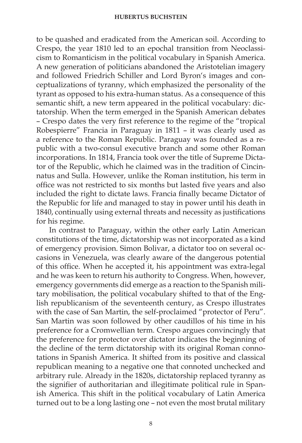to be quashed and eradicated from the American soil. According to Crespo, the year 1810 led to an epochal transition from Neoclassicism to Romanticism in the political vocabulary in Spanish America. A new generation of politicians abandoned the Aristotelian imagery and followed Friedrich Schiller and Lord Byron's images and conceptualizations of tyranny, which emphasized the personality of the tyrant as opposed to his extra-human status. As a consequence of this semantic shift, a new term appeared in the political vocabulary: dictatorship. When the term emerged in the Spanish American debates – Crespo dates the very first reference to the regime of the "tropical Robespierre" Francia in Paraguay in 1811 – it was clearly used as a reference to the Roman Republic. Paraguay was founded as a republic with a two-consul executive branch and some other Roman incorporations. In 1814, Francia took over the title of Supreme Dictator of the Republic, which he claimed was in the tradition of Cincinnatus and Sulla. However, unlike the Roman institution, his term in office was not restricted to six months but lasted five years and also included the right to dictate laws. Francia finally became Dictator of the Republic for life and managed to stay in power until his death in 1840, continually using external threats and necessity as justifications for his regime.

In contrast to Paraguay, within the other early Latin American constitutions of the time, dictatorship was not incorporated as a kind of emergency provision. Simon Bolivar, a dictator too on several occasions in Venezuela, was clearly aware of the dangerous potential of this office. When he accepted it, his appointment was extra-legal and he was keen to return his authority to Congress. When, however, emergency governments did emerge as a reaction to the Spanish military mobilisation, the political vocabulary shifted to that of the English republicanism of the seventeenth century, as Crespo illustrates with the case of San Martin, the self-proclaimed "protector of Peru". San Martin was soon followed by other caudillos of his time in his preference for a Cromwellian term. Crespo argues convincingly that the preference for protector over dictator indicates the beginning of the decline of the term dictatorship with its original Roman connotations in Spanish America. It shifted from its positive and classical republican meaning to a negative one that connoted unchecked and arbitrary rule. Already in the 1820s, dictatorship replaced tyranny as the signifier of authoritarian and illegitimate political rule in Spanish America. This shift in the political vocabulary of Latin America turned out to be a long lasting one – not even the most brutal military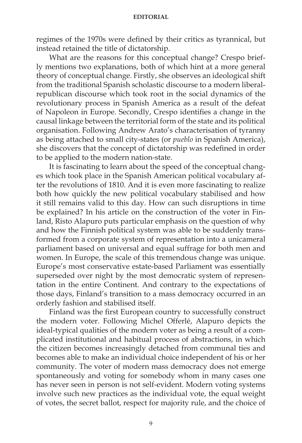regimes of the 1970s were defined by their critics as tyrannical, but instead retained the title of dictatorship.

What are the reasons for this conceptual change? Crespo briefly mentions two explanations, both of which hint at a more general theory of conceptual change. Firstly, she observes an ideological shift from the traditional Spanish scholastic discourse to a modern liberalrepublican discourse which took root in the social dynamics of the revolutionary process in Spanish America as a result of the defeat of Napoleon in Europe. Secondly, Crespo identifies a change in the causal linkage between the territorial form of the state and its political organisation. Following Andrew Arato's characterisation of tyranny as being attached to small city-states (or *pueblo* in Spanish America), she discovers that the concept of dictatorship was redefined in order to be applied to the modern nation-state.

It is fascinating to learn about the speed of the conceptual changes which took place in the Spanish American political vocabulary after the revolutions of 1810. And it is even more fascinating to realize both how quickly the new political vocabulary stabilised and how it still remains valid to this day. How can such disruptions in time be explained? In his article on the construction of the voter in Finland, Risto Alapuro puts particular emphasis on the question of why and how the Finnish political system was able to be suddenly transformed from a corporate system of representation into a unicameral parliament based on universal and equal suffrage for both men and women. In Europe, the scale of this tremendous change was unique. Europe's most conservative estate-based Parliament was essentially superseded over night by the most democratic system of representation in the entire Continent. And contrary to the expectations of those days, Finland's transition to a mass democracy occurred in an orderly fashion and stabilised itself.

Finland was the first European country to successfully construct the modern voter. Following Michel Offerlé, Alapuro depicts the ideal-typical qualities of the modern voter as being a result of a complicated institutional and habitual process of abstractions, in which the citizen becomes increasingly detached from communal ties and becomes able to make an individual choice independent of his or her community. The voter of modern mass democracy does not emerge spontaneously and voting for somebody whom in many cases one has never seen in person is not self-evident. Modern voting systems involve such new practices as the individual vote, the equal weight of votes, the secret ballot, respect for majority rule, and the choice of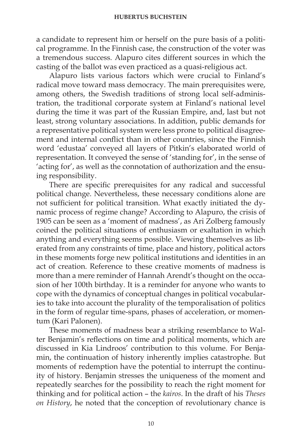a candidate to represent him or herself on the pure basis of a political programme. In the Finnish case, the construction of the voter was a tremendous success. Alapuro cites different sources in which the casting of the ballot was even practiced as a quasi-religious act.

Alapuro lists various factors which were crucial to Finland's radical move toward mass democracy. The main prerequisites were, among others, the Swedish traditions of strong local self-administration, the traditional corporate system at Finland's national level during the time it was part of the Russian Empire, and, last but not least, strong voluntary associations. In addition, public demands for a representative political system were less prone to political disagreement and internal conflict than in other countries, since the Finnish word 'edustaa' conveyed all layers of Pitkin's elaborated world of representation. It conveyed the sense of 'standing for', in the sense of 'acting for', as well as the connotation of authorization and the ensuing responsibility.

There are specific prerequisites for any radical and successful political change. Nevertheless, these necessary conditions alone are not sufficient for political transition. What exactly initiated the dynamic process of regime change? According to Alapuro, the crisis of 1905 can be seen as a 'moment of madness', as Ari Zolberg famously coined the political situations of enthusiasm or exaltation in which anything and everything seems possible. Viewing themselves as liberated from any constraints of time, place and history, political actors in these moments forge new political institutions and identities in an act of creation. Reference to these creative moments of madness is more than a mere reminder of Hannah Arendt's thought on the occasion of her 100th birthday. It is a reminder for anyone who wants to cope with the dynamics of conceptual changes in political vocabularies to take into account the plurality of the temporalisation of politics in the form of regular time-spans, phases of acceleration, or momentum (Kari Palonen).

These moments of madness bear a striking resemblance to Walter Benjamin's reflections on time and political moments, which are discussed in Kia Lindroos' contribution to this volume. For Benjamin, the continuation of history inherently implies catastrophe. But moments of redemption have the potential to interrupt the continuity of history. Benjamin stresses the uniqueness of the moment and repeatedly searches for the possibility to reach the right moment for thinking and for political action – the *kairos*. In the draft of his *Theses on History*, he noted that the conception of revolutionary chance is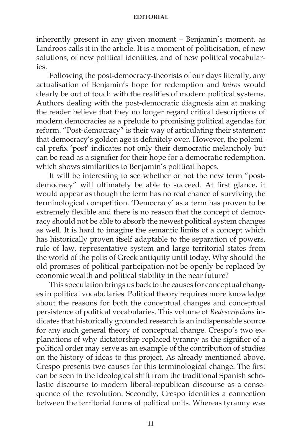inherently present in any given moment – Benjamin's moment, as Lindroos calls it in the article. It is a moment of politicisation, of new solutions, of new political identities, and of new political vocabularies.

Following the post-democracy-theorists of our days literally, any actualisation of Benjamin's hope for redemption and *kairos* would clearly be out of touch with the realities of modern political systems. Authors dealing with the post-democratic diagnosis aim at making the reader believe that they no longer regard critical descriptions of modern democracies as a prelude to promising political agendas for reform. "Post-democracy" is their way of articulating their statement that democracy's golden age is definitely over. However, the polemical prefix 'post' indicates not only their democratic melancholy but can be read as a signifier for their hope for a democratic redemption, which shows similarities to Benjamin's political hopes.

It will be interesting to see whether or not the new term "postdemocracy" will ultimately be able to succeed. At first glance, it would appear as though the term has no real chance of surviving the terminological competition. 'Democracy' as a term has proven to be extremely flexible and there is no reason that the concept of democracy should not be able to absorb the newest political system changes as well. It is hard to imagine the semantic limits of a concept which has historically proven itself adaptable to the separation of powers, rule of law, representative system and large territorial states from the world of the polis of Greek antiquity until today. Why should the old promises of political participation not be openly be replaced by economic wealth and political stability in the near future?

This speculation brings us back to the causes for conceptual changes in political vocabularies. Political theory requires more knowledge about the reasons for both the conceptual changes and conceptual persistence of political vocabularies. This volume of *Redescriptions* indicates that historically grounded research is an indispensable source for any such general theory of conceptual change. Crespo's two explanations of why dictatorship replaced tyranny as the signifier of a political order may serve as an example of the contribution of studies on the history of ideas to this project. As already mentioned above, Crespo presents two causes for this terminological change. The first can be seen in the ideological shift from the traditional Spanish scholastic discourse to modern liberal-republican discourse as a consequence of the revolution. Secondly, Crespo identifies a connection between the territorial forms of political units. Whereas tyranny was